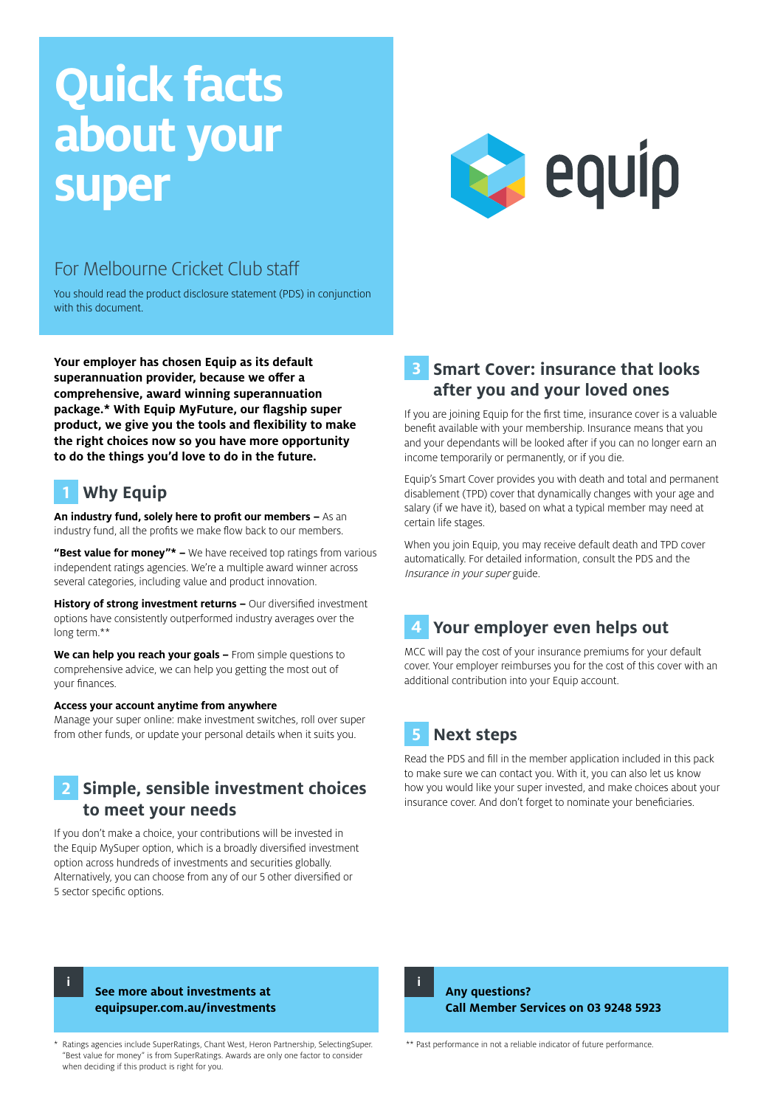# **Quick facts about your super**



## For Melbourne Cricket Club staff

You should read the product disclosure statement (PDS) in conjunction with this document.

**Your employer has chosen Equip as its default superannuation provider, because we offer a comprehensive, award winning superannuation package.\* With Equip MyFuture, our flagship super product, we give you the tools and flexibility to make the right choices now so you have more opportunity to do the things you'd love to do in the future.**

# **1 Why Equip**

**An industry fund, solely here to profit our members –** As an industry fund, all the profits we make flow back to our members.

**"Best value for money"\* –** We have received top ratings from various independent ratings agencies. We're a multiple award winner across several categories, including value and product innovation.

**History of strong investment returns –** Our diversified investment options have consistently outperformed industry averages over the long term.\*\*

**We can help you reach your goals –** From simple questions to comprehensive advice, we can help you getting the most out of your finances.

#### **Access your account anytime from anywhere**

Manage your super online: make investment switches, roll over super from other funds, or update your personal details when it suits you.

## **2 Simple, sensible investment choices to meet your needs**

If you don't make a choice, your contributions will be invested in the Equip MySuper option, which is a broadly diversified investment option across hundreds of investments and securities globally. Alternatively, you can choose from any of our 5 other diversified or 5 sector specific options.

#### **3 Smart Cover: insurance that looks after you and your loved ones**

If you are joining Equip for the first time, insurance cover is a valuable benefit available with your membership. Insurance means that you and your dependants will be looked after if you can no longer earn an income temporarily or permanently, or if you die.

Equip's Smart Cover provides you with death and total and permanent disablement (TPD) cover that dynamically changes with your age and salary (if we have it), based on what a typical member may need at certain life stages.

When you join Equip, you may receive default death and TPD cover automatically. For detailed information, consult the PDS and the Insurance in your super guide.

## **4 Your employer even helps out**

MCC will pay the cost of your insurance premiums for your default cover. Your employer reimburses you for the cost of this cover with an additional contribution into your Equip account.

# **5 Next steps**

Read the PDS and fill in the member application included in this pack to make sure we can contact you. With it, you can also let us know how you would like your super invested, and make choices about your insurance cover. And don't forget to nominate your beneficiaries.

**i**

#### **See more about investments at equipsuper.com.au/investments**

Ratings agencies include SuperRatings, Chant West, Heron Partnership, SelectingSuper. "Best value for money" is from SuperRatings. Awards are only one factor to consider when deciding if this product is right for you.

**Any questions?** 

**i**

**Call Member Services on 03 9248 5923**

\*\* Past performance in not a reliable indicator of future performance.